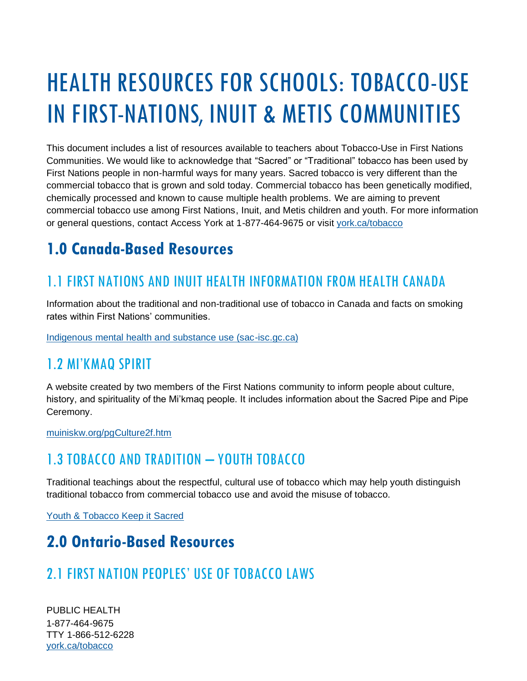# HEALTH RESOURCES FOR SCHOOLS: TOBACCO-USE IN FIRST-NATIONS, INUIT & METIS COMMUNITIES

This document includes a list of resources available to teachers about Tobacco-Use in First Nations Communities. We would like to acknowledge that "Sacred" or "Traditional" tobacco has been used by First Nations people in non-harmful ways for many years. Sacred tobacco is very different than the commercial tobacco that is grown and sold today. Commercial tobacco has been genetically modified, chemically processed and known to cause multiple health problems. We are aiming to prevent commercial tobacco use among First Nations, Inuit, and Metis children and youth. For more information or general questions, contact Access York at 1-877-464-9675 or visit [york.ca/tobacco](http://www.york.ca/tobacco)

# **1.0 Canada-Based Resources**

### 1.1 FIRST NATIONS AND INUIT HEALTH INFORMATION FROM HEALTH CANADA

Information about the traditional and non-traditional use of tobacco in Canada and facts on smoking rates within First Nations' communities.

[Indigenous mental health and substance use \(sac-isc.gc.ca\)](https://www.sac-isc.gc.ca/eng/1578494486629/1578494542175)

#### 1.2 MI'KMAQ SPIRIT

A website created by two members of the First Nations community to inform people about culture, history, and spirituality of the Mi'kmaq people. It includes information about the Sacred Pipe and Pipe Ceremony.

[muiniskw.org/pgCulture2f.htm](http://www.muiniskw.org/pgCulture2f.htm)

#### 1.3 TOBACCO AND TRADITION – YOUTH TOBACCO

Traditional teachings about the respectful, cultural use of tobacco which may help youth distinguish traditional tobacco from commercial tobacco use and avoid the misuse of tobacco.

[Youth & Tobacco Keep it Sacred](https://keepitsacred.itcmi.org/tobacco-and-tradition/youth-tobacco/)

#### **2.0 Ontario-Based Resources**

#### 2.1 FIRST NATION PEOPLES' USE OF TOBACCO LAWS

PUBLIC HEALTH 1-877-464-9675 TTY 1-866-512-6228 [york.ca/tobacco](http://www.york.ca/tobacco)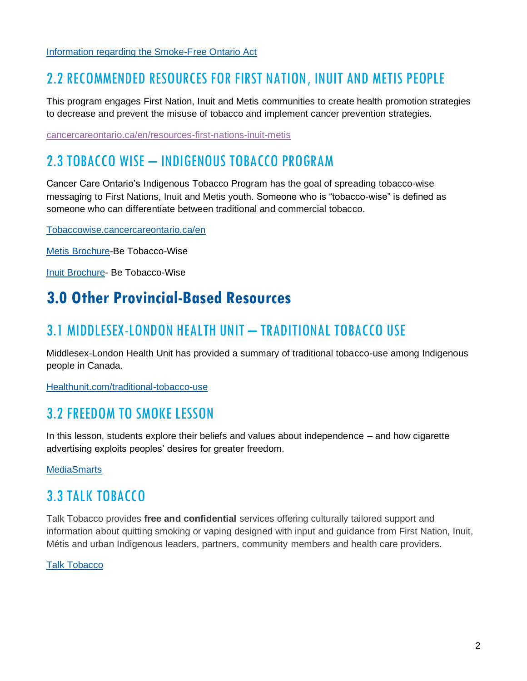[Information regarding the Smoke-Free Ontario Act](https://www.ontario.ca/laws/statute/17s26)

#### 2.2 RECOMMENDED RESOURCES FOR FIRST NATION, INUIT AND METIS PEOPLE

This program engages First Nation, Inuit and Metis communities to create health promotion strategies to decrease and prevent the misuse of tobacco and implement cancer prevention strategies.

[cancercareontario.ca/en/resources-first-nations-inuit-metis](https://www.cancercareontario.ca/en/resources-first-nations-inuit-metis)

#### 2.3 TOBACCO WISE – INDIGENOUS TOBACCO PROGRAM

Cancer Care Ontario's Indigenous Tobacco Program has the goal of spreading tobacco-wise messaging to First Nations, Inuit and Metis youth. Someone who is "tobacco-wise" is defined as someone who can differentiate between traditional and commercial tobacco.

[Tobaccowise.cancercareontario.ca/en](https://tobaccowise.cancercareontario.ca/en)

[Metis Brochure-](https://www.cancercareontario.ca/sites/ccocancercare/files/assets/TobaccoWiseBrochureFirstNations.pdf)Be Tobacco-Wise

[Inuit Brochure-](https://www.cancercareontario.ca/sites/ccocancercare/files/assets/TobaccoWiseBrochureInuit.pdf) Be Tobacco-Wise

#### **3.0 Other Provincial-Based Resources**

#### 3.1 MIDDLESEX-LONDON HEALTH UNIT - TRADITIONAL TOBACCO USE

Middlesex-London Health Unit has provided a summary of traditional tobacco-use among Indigenous people in Canada.

[Healthunit.com/traditional-tobacco-use](http://www.healthunit.com/traditional-tobacco-use)

#### 3.2 FREEDOM TO SMOKE LESSON

In this lesson, students explore their beliefs and values about independence – and how cigarette advertising exploits peoples' desires for greater freedom.

**[MediaSmarts](https://mediasmarts.ca/teacher-resources/find-lesson?field_grade_value_i18n=Grade+5&field_categories_tid_i18n%5B%5D=449&field_categories_tid_i18n%5B%5D=479&field_categories_tid_i18n%5B%5D=500)** 

#### 3.3 TALK TOBACCO

Talk Tobacco provides **free and confidential** services offering culturally tailored support and information about quitting smoking or vaping designed with input and guidance from First Nation, Inuit, Métis and urban Indigenous leaders, partners, community members and health care providers.

#### Talk [Tobacco](https://www.smokershelpline.ca/talktobacco/about)